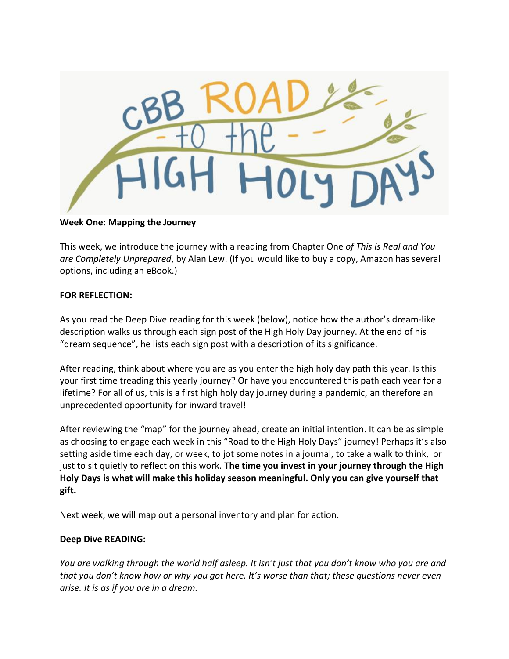

## **Week One: Mapping the Journey**

This week, we introduce the journey with a reading from Chapter One *of This is Real and You are Completely Unprepared*, by Alan Lew. (If you would like to buy a copy, Amazon has several options, including an eBook.)

## **FOR REFLECTION:**

As you read the Deep Dive reading for this week (below), notice how the author's dream-like description walks us through each sign post of the High Holy Day journey. At the end of his "dream sequence", he lists each sign post with a description of its significance.

After reading, think about where you are as you enter the high holy day path this year. Is this your first time treading this yearly journey? Or have you encountered this path each year for a lifetime? For all of us, this is a first high holy day journey during a pandemic, an therefore an unprecedented opportunity for inward travel!

After reviewing the "map" for the journey ahead, create an initial intention. It can be as simple as choosing to engage each week in this "Road to the High Holy Days" journey! Perhaps it's also setting aside time each day, or week, to jot some notes in a journal, to take a walk to think, or just to sit quietly to reflect on this work. **The time you invest in your journey through the High Holy Days is what will make this holiday season meaningful. Only you can give yourself that gift.**

Next week, we will map out a personal inventory and plan for action.

## **Deep Dive READING:**

*You are walking through the world half asleep. It isn't just that you don't know who you are and that you don't know how or why you got here. It's worse than that; these questions never even arise. It is as if you are in a dream.*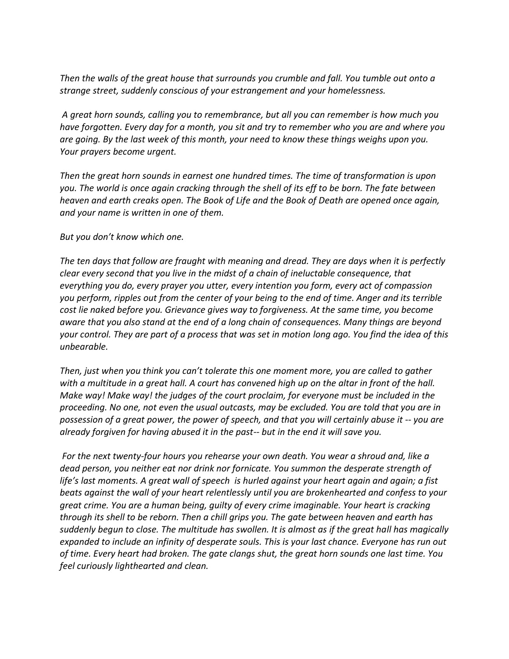*Then the walls of the great house that surrounds you crumble and fall. You tumble out onto a strange street, suddenly conscious of your estrangement and your homelessness.*

*A great horn sounds, calling you to remembrance, but all you can remember is how much you have forgotten. Every day for a month, you sit and try to remember who you are and where you are going. By the last week of this month, your need to know these things weighs upon you. Your prayers become urgent.*

*Then the great horn sounds in earnest one hundred times. The time of transformation is upon you. The world is once again cracking through the shell of its eff to be born. The fate between heaven and earth creaks open. The Book of Life and the Book of Death are opened once again, and your name is written in one of them.*

*But you don't know which one.*

*The ten days that follow are fraught with meaning and dread. They are days when it is perfectly clear every second that you live in the midst of a chain of ineluctable consequence, that everything you do, every prayer you utter, every intention you form, every act of compassion you perform, ripples out from the center of your being to the end of time. Anger and its terrible cost lie naked before you. Grievance gives way to forgiveness. At the same time, you become aware that you also stand at the end of a long chain of consequences. Many things are beyond your control. They are part of a process that was set in motion long ago. You find the idea of this unbearable.*

*Then, just when you think you can't tolerate this one moment more, you are called to gather with a multitude in a great hall. A court has convened high up on the altar in front of the hall. Make way! Make way! the judges of the court proclaim, for everyone must be included in the proceeding. No one, not even the usual outcasts, may be excluded. You are told that you are in possession of a great power, the power of speech, and that you will certainly abuse it -- you are already forgiven for having abused it in the past-- but in the end it will save you.*

*For the next twenty-four hours you rehearse your own death. You wear a shroud and, like a dead person, you neither eat nor drink nor fornicate. You summon the desperate strength of life's last moments. A great wall of speech is hurled against your heart again and again; a fist beats against the wall of your heart relentlessly until you are brokenhearted and confess to your great crime. You are a human being, guilty of every crime imaginable. Your heart is cracking through its shell to be reborn. Then a chill grips you. The gate between heaven and earth has suddenly begun to close. The multitude has swollen. It is almost as if the great hall has magically expanded to include an infinity of desperate souls. This is your last chance. Everyone has run out of time. Every heart had broken. The gate clangs shut, the great horn sounds one last time. You feel curiously lighthearted and clean.*